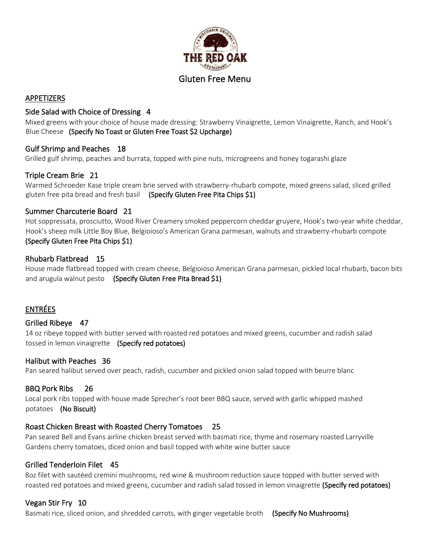

# APPETIZERS

## Side Salad with Choice of Dressing 4

Mixed greens with your choice of house made dressing: Strawberry Vinaigrette, Lemon Vinaigrette, Ranch, and Hook's Blue Cheese (Specify No Toast or Gluten Free Toast \$2 Upcharge)

# Gulf Shrimp and Peaches 18

Grilled gulf shrimp, peaches and burrata, topped with pine nuts, microgreens and honey togarashi glaze

# Triple Cream Brie 21

Warmed Schroeder Kase triple cream brie served with strawberry-rhubarb compote, mixed greens salad, sliced grilled gluten free pita bread and fresh basil (Specify Gluten Free Pita Chips \$1)

## Summer Charcuterie Board 21

Hot soppressata, prosciutto, Wood River Creamery smoked peppercorn cheddar gruyere, Hook's two-year white cheddar, Hook's sheep milk Little Boy Blue, Belgioioso's American Grana parmesan, walnuts and strawberry-rhubarb compote (Specify Gluten Free Pita Chips \$1)

# Rhubarb Flatbread 15

House made flatbread topped with cream cheese, Belgioioso American Grana parmesan, pickled local rhubarb, bacon bits and arugula walnut pesto (Specify Gluten Free Pita Bread \$1)

# ENTRÉES

## Grilled Ribeye 47

14 oz ribeye topped with butter served with roasted red potatoes and mixed greens, cucumber and radish salad tossed in lemon vinaigrette (Specify red potatoes)

## Halibut with Peaches 36

Pan seared halibut served over peach, radish, cucumber and pickled onion salad topped with beurre blanc

## BBQ Pork Ribs 26

Local pork ribs topped with house made Sprecher's root beer BBQ sauce, served with garlic whipped mashed potatoes (No Biscuit)

## Roast Chicken Breast with Roasted Cherry Tomatoes 25

Pan seared Bell and Evans airline chicken breast served with basmati rice, thyme and rosemary roasted Larryville Gardens cherry tomatoes, diced onion and basil topped with white wine butter sauce

## Grilled Tenderloin Filet 45

8oz filet with sautéed cremini mushrooms, red wine & mushroom reduction sauce topped with butter served with roasted red potatoes and mixed greens, cucumber and radish salad tossed in lemon vinaigrette (Specify red potatoes)

# Vegan Stir Fry 10

Basmati rice, sliced onion, and shredded carrots, with ginger vegetable broth (Specify No Mushrooms)